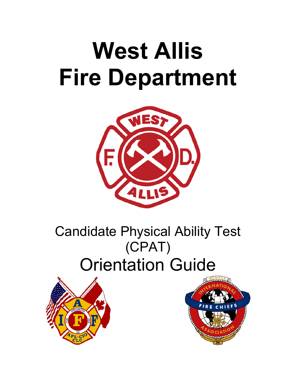# **West Allis Fire Department**



# Candidate Physical Ability Test (CPAT) Orientation Guide



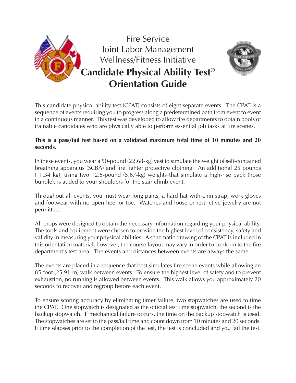

This candidate physical ability test (CPAT) consists of eight separate events. The CPAT is a sequence of events requiring you to progress along a predetermined path from event to event in a continuous manner. This test was developed to allow fire departments to obtain pools of trainable candidates who are physically able to perform essential job tasks at fire scenes.

#### **This is a pass/fail test based on a validated maximum total time of 10 minutes and 20 seconds**.

In these events, you wear a 50-pound (22.68-kg) vest to simulate the weight of self-contained breathing apparatus (SCBA) and fire fighter protective clothing. An additional 25 pounds (11.34 kg), using two 12.5-pound (5.67-kg) weights that simulate a high-rise pack (hose bundle), is added to your shoulders for the stair climb event.

Throughout all events, you must wear long pants, a hard hat with chin strap, work gloves and footwear with no open heel or toe. Watches and loose or restrictive jewelry are not permitted.

All props were designed to obtain the necessary information regarding your physical ability. The tools and equipment were chosen to provide the highest level of consistency, safety and validity in measuring your physical abilities. A schematic drawing of the CPAT is included in this orientation material; however, the course layout may vary in order to conform to the fire department's test area. The events and distances between events are always the same.

The events are placed in a sequence that best simulates fire scene events while allowing an 85-foot (25.91-m) walk between events. To ensure the highest level of safety and to prevent exhaustion, no running is allowed between events. This walk allows you approximately 20 seconds to recover and regroup before each event.

To ensure scoring accuracy by eliminating timer failure, two stopwatches are used to time the CPAT. One stopwatch is designated as the official test time stopwatch, the second is the backup stopwatch. If mechanical failure occurs, the time on the backup stopwatch is used. The stopwatches are set to the pass/fail time and count down from 10 minutes and 20 seconds. If time elapses prior to the completion of the test, the test is concluded and you fail the test.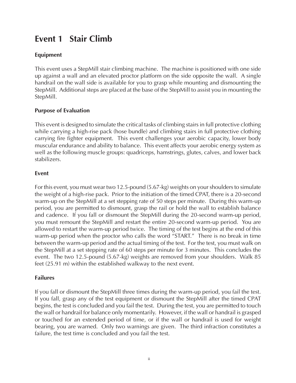# **Event 1 Stair Climb**

#### **Equipment**

This event uses a StepMill stair climbing machine. The machine is positioned with one side up against a wall and an elevated proctor platform on the side opposite the wall. A single handrail on the wall side is available for you to grasp while mounting and dismounting the StepMill. Additional steps are placed at the base of the StepMill to assist you in mounting the StepMill.

#### **Purpose of Evaluation**

This event is designed to simulate the critical tasks of climbing stairs in full protective clothing while carrying a high-rise pack (hose bundle) and climbing stairs in full protective clothing carrying fire fighter equipment. This event challenges your aerobic capacity, lower body muscular endurance and ability to balance. This event affects your aerobic energy system as well as the following muscle groups: quadriceps, hamstrings, glutes, calves, and lower back stabilizers.

#### **Event**

For this event, you must wear two 12.5-pound (5.67-kg) weights on your shoulders to simulate the weight of a high-rise pack. Prior to the initiation of the timed CPAT, there is a 20-second warm-up on the StepMill at a set stepping rate of 50 steps per minute. During this warm-up period, you are permitted to dismount, grasp the rail or hold the wall to establish balance and cadence. If you fall or dismount the StepMill during the 20-second warm-up period, you must remount the StepMill and restart the entire 20-second warm-up period. You are allowed to restart the warm-up period twice. The timing of the test begins at the end of this warm-up period when the proctor who calls the word "START." There is no break in time between the warm-up period and the actual timing of the test. For the test, you must walk on the StepMill at a set stepping rate of 60 steps per minute for 3 minutes. This concludes the event. The two 12.5-pound (5.67-kg) weights are removed from your shoulders. Walk 85 feet (25.91 m) within the established walkway to the next event.

#### **Failures**

If you fall or dismount the StepMill three times during the warm-up period, you fail the test. If you fall, grasp any of the test equipment or dismount the StepMill after the timed CPAT begins, the test is concluded and you fail the test. During the test, you are permitted to touch the wall or handrail for balance only momentarily. However, if the wall or handrail is grasped or touched for an extended period of time, or if the wall or handrail is used for weight bearing, you are warned. Only two warnings are given. The third infraction constitutes a failure, the test time is concluded and you fail the test.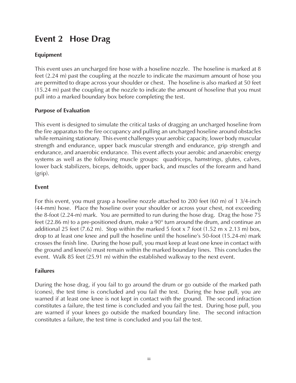# **Event 2 Hose Drag**

#### **Equipment**

This event uses an uncharged fire hose with a hoseline nozzle. The hoseline is marked at 8 feet (2.24 m) past the coupling at the nozzle to indicate the maximum amount of hose you are permitted to drape across your shoulder or chest. The hoseline is also marked at 50 feet (15.24 m) past the coupling at the nozzle to indicate the amount of hoseline that you must pull into a marked boundary box before completing the test.

#### **Purpose of Evaluation**

This event is designed to simulate the critical tasks of dragging an uncharged hoseline from the fire apparatus to the fire occupancy and pulling an uncharged hoseline around obstacles while remaining stationary. This event challenges your aerobic capacity, lower body muscular strength and endurance, upper back muscular strength and endurance, grip strength and endurance, and anaerobic endurance. This event affects your aerobic and anaerobic energy systems as well as the following muscle groups: quadriceps, hamstrings, glutes, calves, lower back stabilizers, biceps, deltoids, upper back, and muscles of the forearm and hand (grip).

#### **Event**

For this event, you must grasp a hoseline nozzle attached to 200 feet (60 m) of 1 3/4-inch (44-mm) hose. Place the hoseline over your shoulder or across your chest, not exceeding the 8-foot (2.24-m) mark. You are permitted to run during the hose drag. Drag the hose 75 feet (22.86 m) to a pre-positioned drum, make a 90° turn around the drum, and continue an additional 25 feet  $(7.62 \text{ m})$ . Stop within the marked 5 foot x 7 foot  $(1.52 \text{ m} \times 2.13 \text{ m})$  box, drop to at least one knee and pull the hoseline until the hoseline's 50-foot (15.24-m) mark crosses the finish line. During the hose pull, you must keep at least one knee in contact with the ground and knee(s) must remain within the marked boundary lines. This concludes the event. Walk 85 feet (25.91 m) within the established walkway to the next event.

#### **Failures**

During the hose drag, if you fail to go around the drum or go outside of the marked path (cones), the test time is concluded and you fail the test. During the hose pull, you are warned if at least one knee is not kept in contact with the ground. The second infraction constitutes a failure, the test time is concluded and you fail the test. During hose pull, you are warned if your knees go outside the marked boundary line. The second infraction constitutes a failure, the test time is concluded and you fail the test.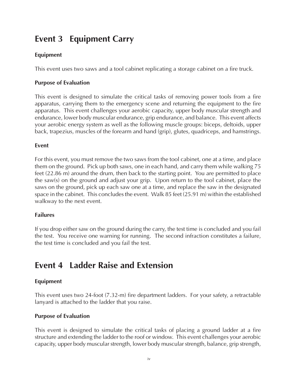# **Event 3 Equipment Carry**

#### **Equipment**

This event uses two saws and a tool cabinet replicating a storage cabinet on a fire truck.

#### **Purpose of Evaluation**

This event is designed to simulate the critical tasks of removing power tools from a fire apparatus, carrying them to the emergency scene and returning the equipment to the fire apparatus. This event challenges your aerobic capacity, upper body muscular strength and endurance, lower body muscular endurance, grip endurance, and balance. This event affects your aerobic energy system as well as the following muscle groups: biceps, deltoids, upper back, trapezius, muscles of the forearm and hand (grip), glutes, quadriceps, and hamstrings.

#### **Event**

For this event, you must remove the two saws from the tool cabinet, one at a time, and place them on the ground. Pick up both saws, one in each hand, and carry them while walking 75 feet (22.86 m) around the drum, then back to the starting point. You are permitted to place the saw(s) on the ground and adjust your grip. Upon return to the tool cabinet, place the saws on the ground, pick up each saw one at a time, and replace the saw in the designated space in the cabinet. This concludes the event. Walk 85 feet (25.91 m) within the established walkway to the next event.

#### **Failures**

If you drop either saw on the ground during the carry, the test time is concluded and you fail the test. You receive one warning for running. The second infraction constitutes a failure, the test time is concluded and you fail the test.

# **Event 4 Ladder Raise and Extension**

#### **Equipment**

This event uses two 24-foot (7.32-m) fire department ladders. For your safety, a retractable lanyard is attached to the ladder that you raise.

#### **Purpose of Evaluation**

This event is designed to simulate the critical tasks of placing a ground ladder at a fire structure and extending the ladder to the roof or window. This event challenges your aerobic capacity, upper body muscular strength, lower body muscular strength, balance, grip strength,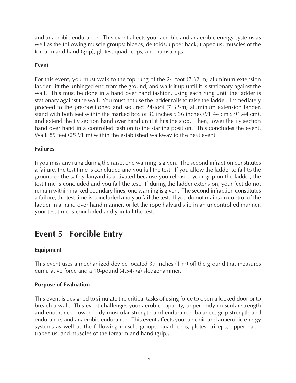and anaerobic endurance. This event affects your aerobic and anaerobic energy systems as well as the following muscle groups: biceps, deltoids, upper back, trapezius, muscles of the forearm and hand (grip), glutes, quadriceps, and hamstrings.

#### **Event**

For this event, you must walk to the top rung of the 24-foot (7.32-m) aluminum extension ladder, lift the unhinged end from the ground, and walk it up until it is stationary against the wall. This must be done in a hand over hand fashion, using each rung until the ladder is stationary against the wall. You must not use the ladder rails to raise the ladder. Immediately proceed to the pre-positioned and secured 24-foot (7.32-m) aluminum extension ladder, stand with both feet within the marked box of 36 inches x 36 inches (91.44 cm x 91.44 cm), and extend the fly section hand over hand until it hits the stop. Then, lower the fly section hand over hand in a controlled fashion to the starting position. This concludes the event. Walk 85 feet (25.91 m) within the established walkway to the next event.

#### **Failures**

If you miss any rung during the raise, one warning is given. The second infraction constitutes a failure, the test time is concluded and you fail the test. If you allow the ladder to fall to the ground or the safety lanyard is activated because you released your grip on the ladder, the test time is concluded and you fail the test. If during the ladder extension, your feet do not remain within marked boundary lines, one warning is given. The second infraction constitutes a failure, the test time is concluded and you fail the test. If you do not maintain control of the ladder in a hand over hand manner, or let the rope halyard slip in an uncontrolled manner, your test time is concluded and you fail the test.

# **Event 5 Forcible Entry**

#### **Equipment**

This event uses a mechanized device located 39 inches (1 m) off the ground that measures cumulative force and a 10-pound (4.54-kg) sledgehammer.

#### **Purpose of Evaluation**

This event is designed to simulate the critical tasks of using force to open a locked door or to breach a wall. This event challenges your aerobic capacity, upper body muscular strength and endurance, lower body muscular strength and endurance, balance, grip strength and endurance, and anaerobic endurance. This event affects your aerobic and anaerobic energy systems as well as the following muscle groups: quadriceps, glutes, triceps, upper back, trapezius, and muscles of the forearm and hand (grip).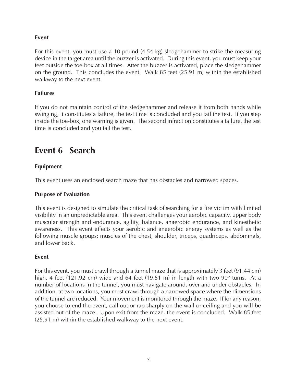#### **Event**

For this event, you must use a 10-pound (4.54-kg) sledgehammer to strike the measuring device in the target area until the buzzer is activated. During this event, you must keep your feet outside the toe-box at all times. After the buzzer is activated, place the sledgehammer on the ground. This concludes the event. Walk 85 feet (25.91 m) within the established walkway to the next event.

#### **Failures**

If you do not maintain control of the sledgehammer and release it from both hands while swinging, it constitutes a failure, the test time is concluded and you fail the test. If you step inside the toe-box, one warning is given. The second infraction constitutes a failure, the test time is concluded and you fail the test.

# **Event 6 Search**

#### **Equipment**

This event uses an enclosed search maze that has obstacles and narrowed spaces.

#### **Purpose of Evaluation**

This event is designed to simulate the critical task of searching for a fire victim with limited visibility in an unpredictable area. This event challenges your aerobic capacity, upper body muscular strength and endurance, agility, balance, anaerobic endurance, and kinesthetic awareness. This event affects your aerobic and anaerobic energy systems as well as the following muscle groups: muscles of the chest, shoulder, triceps, quadriceps, abdominals, and lower back.

#### **Event**

For this event, you must crawl through a tunnel maze that is approximately 3 feet (91.44 cm) high, 4 feet (121.92 cm) wide and 64 feet (19.51 m) in length with two 90° turns. At a number of locations in the tunnel, you must navigate around, over and under obstacles. In addition, at two locations, you must crawl through a narrowed space where the dimensions of the tunnel are reduced. Your movement is monitored through the maze. If for any reason, you choose to end the event, call out or rap sharply on the wall or ceiling and you will be assisted out of the maze. Upon exit from the maze, the event is concluded. Walk 85 feet (25.91 m) within the established walkway to the next event.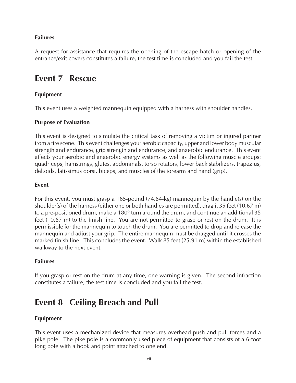#### **Failures**

A request for assistance that requires the opening of the escape hatch or opening of the entrance/exit covers constitutes a failure, the test time is concluded and you fail the test.

# **Event 7 Rescue**

#### **Equipment**

This event uses a weighted mannequin equipped with a harness with shoulder handles.

#### **Purpose of Evaluation**

This event is designed to simulate the critical task of removing a victim or injured partner from a fire scene. This event challenges your aerobic capacity, upper and lower body muscular strength and endurance, grip strength and endurance, and anaerobic endurance. This event affects your aerobic and anaerobic energy systems as well as the following muscle groups: quadriceps, hamstrings, glutes, abdominals, torso rotators, lower back stabilizers, trapezius, deltoids, latissimus dorsi, biceps, and muscles of the forearm and hand (grip).

#### **Event**

For this event, you must grasp a 165-pound (74.84-kg) mannequin by the handle(s) on the shoulder(s) of the harness (either one or both handles are permitted), drag it 35 feet (10.67 m) to a pre-positioned drum, make a 180° turn around the drum, and continue an additional 35 feet (10.67 m) to the finish line. You are not permitted to grasp or rest on the drum. It is permissible for the mannequin to touch the drum. You are permitted to drop and release the mannequin and adjust your grip. The entire mannequin must be dragged until it crosses the marked finish line. This concludes the event. Walk 85 feet (25.91 m) within the established walkway to the next event.

#### **Failures**

If you grasp or rest on the drum at any time, one warning is given. The second infraction constitutes a failure, the test time is concluded and you fail the test.

# **Event 8 Ceiling Breach and Pull**

#### **Equipment**

This event uses a mechanized device that measures overhead push and pull forces and a pike pole. The pike pole is a commonly used piece of equipment that consists of a 6-foot long pole with a hook and point attached to one end.